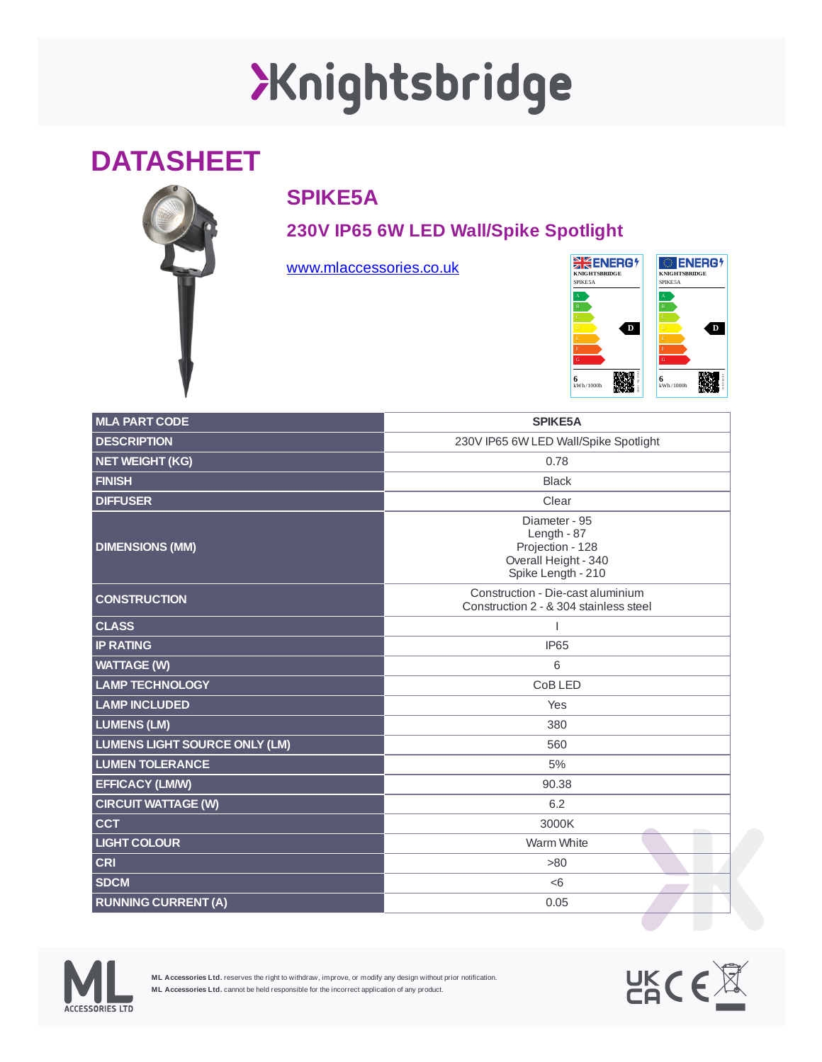# XKnightsbridge

### **DATASHEET**



### **SPIKE5A**

#### **230V IP65 6W LED Wall/Spike Spotlight**

[www.mlaccessories.co.uk](https://www.mlaccessories.co.uk/)



| <b>MLA PART CODE</b>                 | SPIKE5A                                                                                        |
|--------------------------------------|------------------------------------------------------------------------------------------------|
| <b>DESCRIPTION</b>                   | 230V IP65 6W LED Wall/Spike Spotlight                                                          |
| <b>NET WEIGHT (KG)</b>               | 0.78                                                                                           |
| <b>FINISH</b>                        | <b>Black</b>                                                                                   |
| <b>DIFFUSER</b>                      | Clear                                                                                          |
| <b>DIMENSIONS (MM)</b>               | Diameter - 95<br>Length - 87<br>Projection - 128<br>Overall Height - 340<br>Spike Length - 210 |
| <b>CONSTRUCTION</b>                  | Construction - Die-cast aluminium<br>Construction 2 - & 304 stainless steel                    |
| <b>CLASS</b>                         |                                                                                                |
| <b>IP RATING</b>                     | IP65                                                                                           |
| <b>WATTAGE (W)</b>                   | 6                                                                                              |
| <b>LAMP TECHNOLOGY</b>               | CoB LED                                                                                        |
| <b>LAMP INCLUDED</b>                 | Yes                                                                                            |
| <b>LUMENS (LM)</b>                   | 380                                                                                            |
| <b>LUMENS LIGHT SOURCE ONLY (LM)</b> | 560                                                                                            |
| <b>LUMEN TOLERANCE</b>               | 5%                                                                                             |
| <b>EFFICACY (LM/W)</b>               | 90.38                                                                                          |
| <b>CIRCUIT WATTAGE (W)</b>           | 6.2                                                                                            |
| <b>CCT</b>                           | 3000K                                                                                          |
| <b>LIGHT COLOUR</b>                  | Warm White                                                                                     |
| <b>CRI</b>                           | >80                                                                                            |
| <b>SDCM</b>                          | < 6                                                                                            |
| <b>RUNNING CURRENT (A)</b>           | 0.05                                                                                           |



**ML Accessories Ltd.** reserves the right to withdraw, improve, or modify any design without prior notification. **ML Accessories Ltd.** cannot be held responsible for the incorrect application of any product.